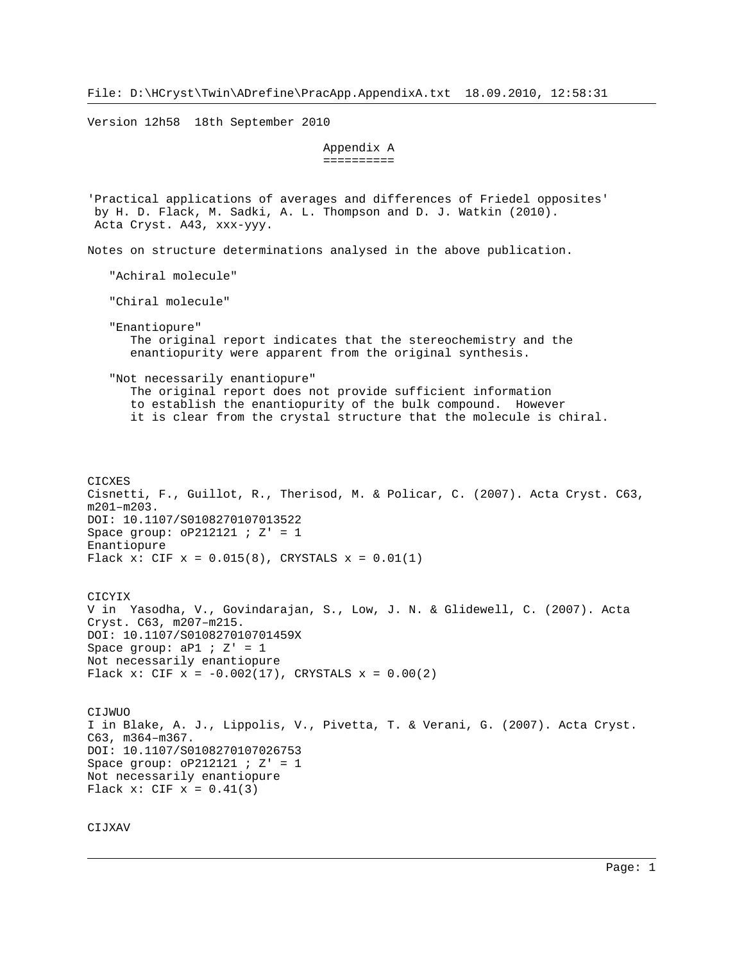File: D:\HCryst\Twin\ADrefine\PracApp.AppendixA.txt 18.09.2010, 12:58:31

Version 12h58 18th September 2010

## Appendix A ==========

'Practical applications of averages and differences of Friedel opposites' by H. D. Flack, M. Sadki, A. L. Thompson and D. J. Watkin (2010). Acta Cryst. A43, xxx-yyy. Notes on structure determinations analysed in the above publication. "Achiral molecule" "Chiral molecule" "Enantiopure" The original report indicates that the stereochemistry and the enantiopurity were apparent from the original synthesis. "Not necessarily enantiopure" The original report does not provide sufficient information to establish the enantiopurity of the bulk compound. However it is clear from the crystal structure that the molecule is chiral. CICXES Cisnetti, F., Guillot, R., Therisod, M. & Policar, C. (2007). Acta Cryst. C63, m201–m203. DOI: 10.1107/S0108270107013522 Space group:  $oP212121$  ;  $Z' = 1$ Enantiopure Flack x: CIF  $x = 0.015(8)$ , CRYSTALS  $x = 0.01(1)$ CICYIX V in Yasodha, V., Govindarajan, S., Low, J. N. & Glidewell, C. (2007). Acta Cryst. C63, m207–m215. DOI: 10.1107/S010827010701459X Space group:  $aP1$  ;  $Z' = 1$ Not necessarily enantiopure Flack x: CIF  $x = -0.002(17)$ , CRYSTALS  $x = 0.00(2)$ CIJWUO I in Blake, A. J., Lippolis, V., Pivetta, T. & Verani, G. (2007). Acta Cryst. C63, m364–m367. DOI: 10.1107/S0108270107026753 Space group:  $oP212121$  ;  $Z' = 1$ Not necessarily enantiopure Flack  $x: CIF x = 0.41(3)$ 

CIJXAV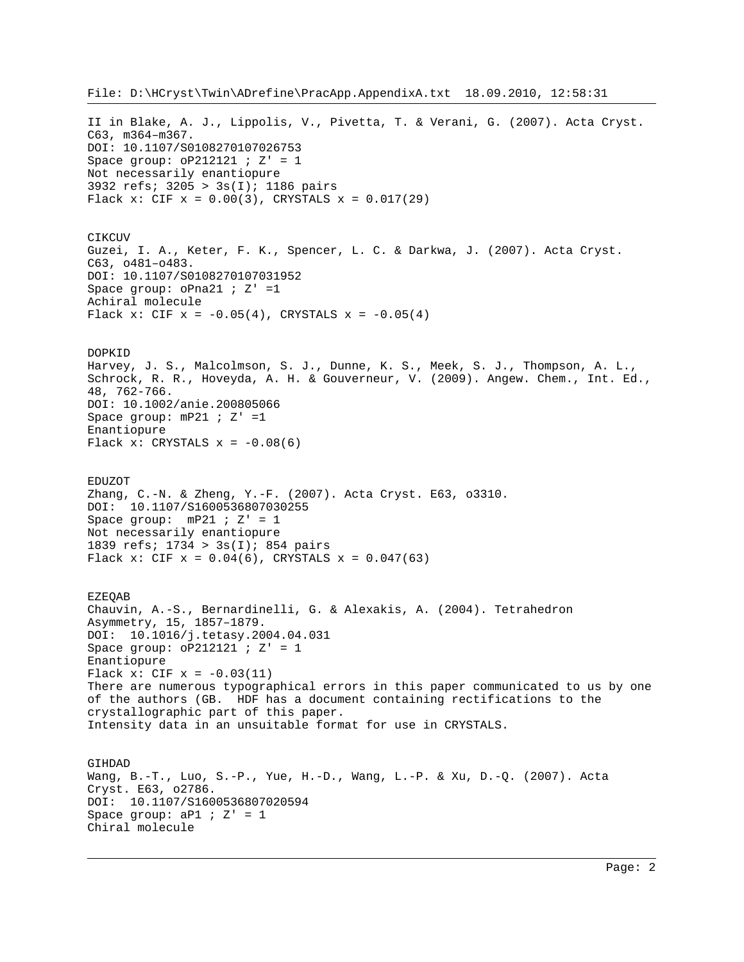File: D:\HCryst\Twin\ADrefine\PracApp.AppendixA.txt 18.09.2010, 12:58:31 II in Blake, A. J., Lippolis, V., Pivetta, T. & Verani, G. (2007). Acta Cryst. C63, m364–m367. DOI: 10.1107/S0108270107026753 Space group:  $oP212121$  ;  $Z' = 1$ Not necessarily enantiopure 3932 refs; 3205 > 3s(I); 1186 pairs Flack x: CIF  $x = 0.00(3)$ , CRYSTALS  $x = 0.017(29)$ CIKCUV Guzei, I. A., Keter, F. K., Spencer, L. C. & Darkwa, J. (2007). Acta Cryst. C63, o481–o483. DOI: 10.1107/S0108270107031952 Space group: oPna21 ; Z' =1 Achiral molecule Flack x: CIF  $x = -0.05(4)$ , CRYSTALS  $x = -0.05(4)$ DOPKID Harvey, J. S., Malcolmson, S. J., Dunne, K. S., Meek, S. J., Thompson, A. L., Schrock, R. R., Hoveyda, A. H. & Gouverneur, V. (2009). Angew. Chem., Int. Ed., 48, 762-766. DOI: 10.1002/anie.200805066 Space group:  $mP21$  ;  $Z' = 1$ Enantiopure Flack  $x:$  CRYSTALS  $x = -0.08(6)$ EDUZOT Zhang, C.-N. & Zheng, Y.-F. (2007). Acta Cryst. E63, o3310. DOI: 10.1107/S1600536807030255 Space group:  $mP21$  ;  $Z' = 1$ Not necessarily enantiopure 1839 refs; 1734 > 3s(I); 854 pairs Flack x: CIF  $x = 0.04(6)$ , CRYSTALS  $x = 0.047(63)$ EZEQAB Chauvin, A.-S., Bernardinelli, G. & Alexakis, A. (2004). Tetrahedron Asymmetry, 15, 1857–1879. DOI: 10.1016/j.tetasy.2004.04.031 Space group:  $oP212121$  ;  $Z' = 1$ Enantiopure Flack  $x: CIF x = -0.03(11)$ There are numerous typographical errors in this paper communicated to us by one of the authors (GB. HDF has a document containing rectifications to the crystallographic part of this paper. Intensity data in an unsuitable format for use in CRYSTALS. GIHDAD Wang, B.-T., Luo, S.-P., Yue, H.-D., Wang, L.-P. & Xu, D.-Q. (2007). Acta Cryst. E63, o2786. DOI: 10.1107/S1600536807020594 Space group:  $aPI$  ;  $Z' = 1$ Chiral molecule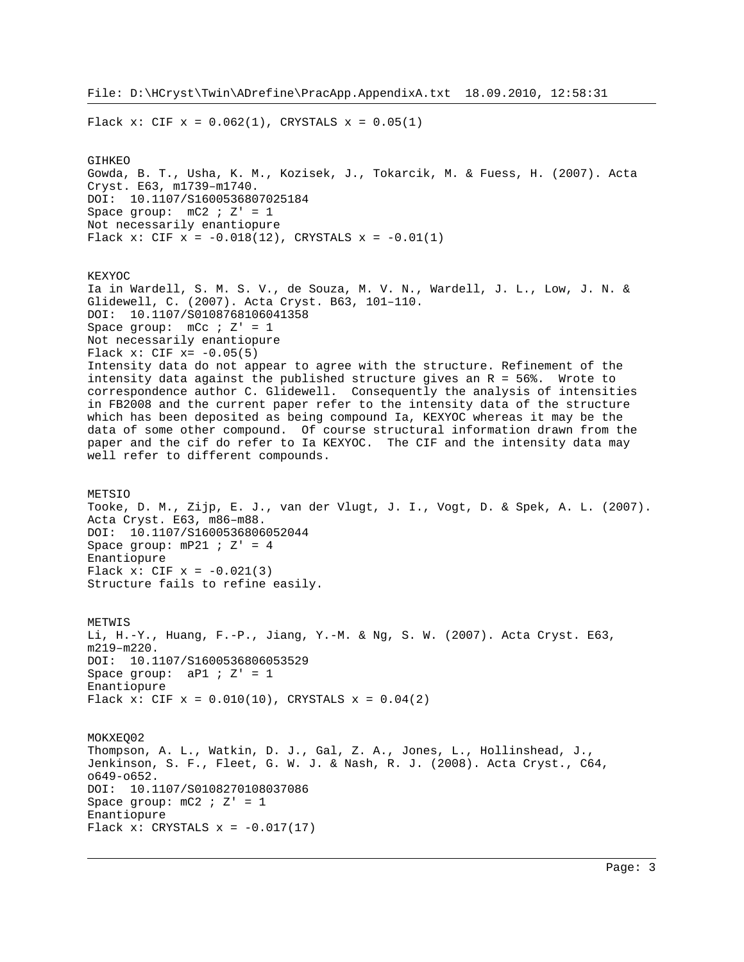Flack x: CIF  $x = 0.062(1)$ , CRYSTALS  $x = 0.05(1)$ GIHKEO Gowda, B. T., Usha, K. M., Kozisek, J., Tokarcik, M. & Fuess, H. (2007). Acta Cryst. E63, m1739–m1740. DOI: 10.1107/S1600536807025184 Space group:  $mC2$  ;  $Z' = 1$ Not necessarily enantiopure Flack x: CIF  $x = -0.018(12)$ , CRYSTALS  $x = -0.01(1)$ KEXYOC Ia in Wardell, S. M. S. V., de Souza, M. V. N., Wardell, J. L., Low, J. N. & Glidewell, C. (2007). Acta Cryst. B63, 101–110. DOI: 10.1107/S0108768106041358 Space group:  $mCc$  ;  $Z' = 1$ Not necessarily enantiopure Flack  $x: CIF$   $x=-0.05(5)$ Intensity data do not appear to agree with the structure. Refinement of the intensity data against the published structure gives an R = 56%. Wrote to correspondence author C. Glidewell. Consequently the analysis of intensities in FB2008 and the current paper refer to the intensity data of the structure which has been deposited as being compound Ia, KEXYOC whereas it may be the data of some other compound. Of course structural information drawn from the paper and the cif do refer to Ia KEXYOC. The CIF and the intensity data may well refer to different compounds. METSIO Tooke, D. M., Zijp, E. J., van der Vlugt, J. I., Vogt, D. & Spek, A. L. (2007). Acta Cryst. E63, m86–m88. DOI: 10.1107/S1600536806052044 Space group:  $mP21$  ;  $Z' = 4$ Enantiopure Flack x: CIF  $x = -0.021(3)$ Structure fails to refine easily. METWIS Li, H.-Y., Huang, F.-P., Jiang, Y.-M. & Ng, S. W. (2007). Acta Cryst. E63, m219–m220. DOI: 10.1107/S1600536806053529 Space group:  $aPI$  ;  $Z' = 1$ Enantiopure Flack x: CIF  $x = 0.010(10)$ , CRYSTALS  $x = 0.04(2)$ MOKXEQ02 Thompson, A. L., Watkin, D. J., Gal, Z. A., Jones, L., Hollinshead, J., Jenkinson, S. F., Fleet, G. W. J. & Nash, R. J. (2008). Acta Cryst., C64, o649-o652. DOI: 10.1107/S0108270108037086 Space group:  $mc2$  ;  $Z' = 1$ Enantiopure Flack  $x:$  CRYSTALS  $x = -0.017(17)$ 

File: D:\HCryst\Twin\ADrefine\PracApp.AppendixA.txt 18.09.2010, 12:58:31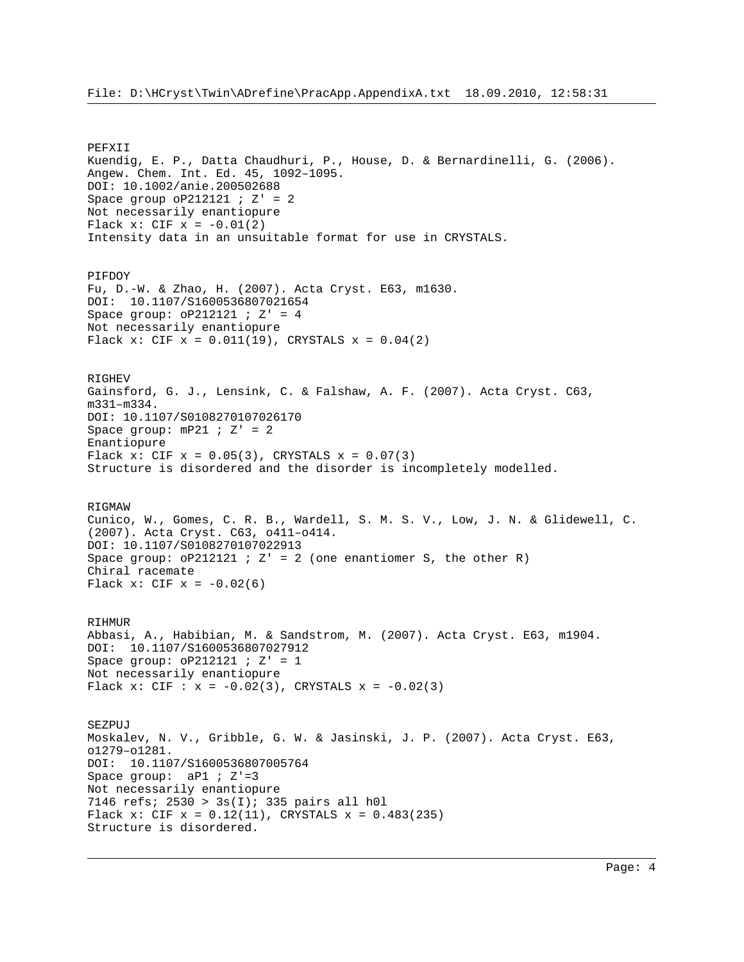```
PEFXII
Kuendig, E. P., Datta Chaudhuri, P., House, D. & Bernardinelli, G. (2006).
Angew. Chem. Int. Ed. 45, 1092–1095.
DOI: 10.1002/anie.200502688
Space group oP212121 ; Z' = 2Not necessarily enantiopure
Flack x: CIF x = -0.01(2)Intensity data in an unsuitable format for use in CRYSTALS.
PIFDOY
Fu, D.-W. & Zhao, H. (2007). Acta Cryst. E63, m1630.
DOI: 10.1107/S1600536807021654
Space group: oP212121 ; Z' = 4Not necessarily enantiopure
Flack x: CIF x = 0.011(19), CRYSTALS x = 0.04(2)RIGHEV
Gainsford, G. J., Lensink, C. & Falshaw, A. F. (2007). Acta Cryst. C63,
m331–m334.
DOI: 10.1107/S0108270107026170
Space group: mP21 ; Z' = 2Enantiopure
Flack x: CIF x = 0.05(3), CRYSTALS x = 0.07(3)Structure is disordered and the disorder is incompletely modelled.
RIGMAW
Cunico, W., Gomes, C. R. B., Wardell, S. M. S. V., Low, J. N. & Glidewell, C.
(2007). Acta Cryst. C63, o411–o414.
DOI: 10.1107/S0108270107022913
Space group: oP212121 ; Z' = 2 (one enantiomer S, the other R)
Chiral racemate
Flack x: CIF x = -0.02(6)RIHMUR
Abbasi, A., Habibian, M. & Sandstrom, M. (2007). Acta Cryst. E63, m1904.
DOI: 10.1107/S1600536807027912
Space group: oP212121 ; Z' = 1
Not necessarily enantiopure
Flack x: CIF : x = -0.02(3), CRYSTALS x = -0.02(3)SEZPUJ
Moskalev, N. V., Gribble, G. W. & Jasinski, J. P. (2007). Acta Cryst. E63,
o1279–o1281.
DOI: 10.1107/S1600536807005764
Space group: aP1 ; Z'=3
Not necessarily enantiopure
7146 refs; 2530 > 3s(I); 335 pairs all h0l
Flack x: CIF x = 0.12(11), CRYSTALS x = 0.483(235)Structure is disordered.
```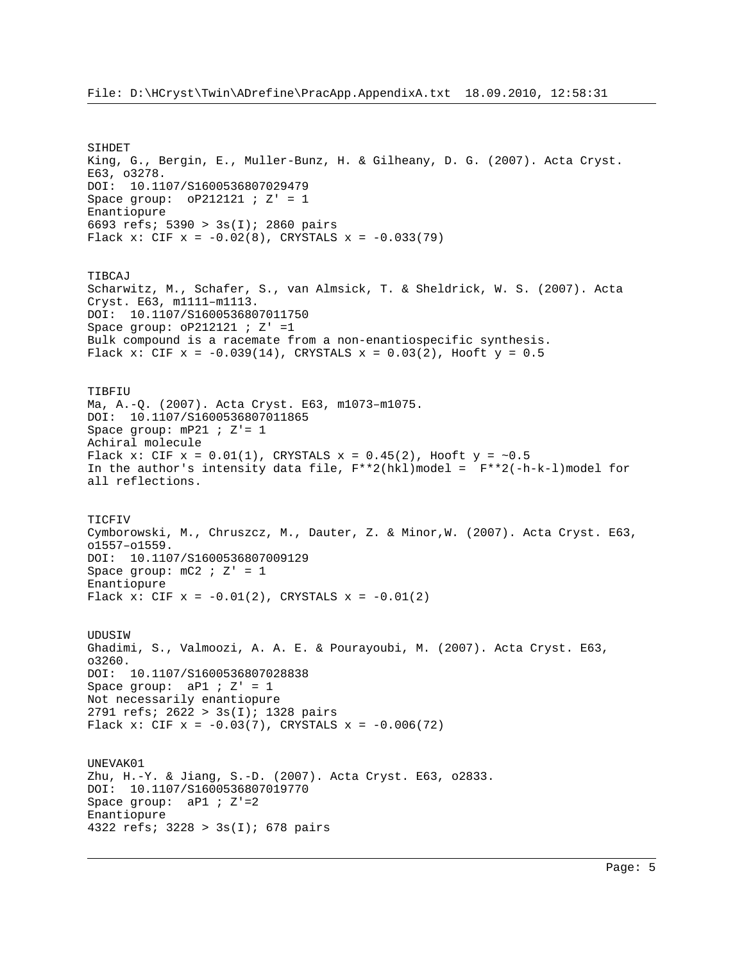SIHDET King, G., Bergin, E., Muller-Bunz, H. & Gilheany, D. G. (2007). Acta Cryst. E63, o3278. DOI: 10.1107/S1600536807029479 Space group: oP212121 ; Z' = 1 Enantiopure 6693 refs; 5390 > 3s(I); 2860 pairs Flack x: CIF  $x = -0.02(8)$ , CRYSTALS  $x = -0.033(79)$ TIBCAJ Scharwitz, M., Schafer, S., van Almsick, T. & Sheldrick, W. S. (2007). Acta Cryst. E63, m1111–m1113. DOI: 10.1107/S1600536807011750 Space group:  $oP212121$  ;  $Z' = 1$ Bulk compound is a racemate from a non-enantiospecific synthesis. Flack x: CIF  $x = -0.039(14)$ , CRYSTALS  $x = 0.03(2)$ , Hooft  $y = 0.5$ TIBFIU Ma, A.-Q. (2007). Acta Cryst. E63, m1073–m1075. DOI: 10.1107/S1600536807011865 Space group:  $mP21$  ;  $Z' = 1$ Achiral molecule Flack x: CIF  $x = 0.01(1)$ , CRYSTALS  $x = 0.45(2)$ , Hooft  $y = -0.5$ In the author's intensity data file,  $F^{**}2(hkl)$  model =  $F^{**}2(-h-k-1)$  model for all reflections. TICFIV Cymborowski, M., Chruszcz, M., Dauter, Z. & Minor,W. (2007). Acta Cryst. E63, o1557–o1559. DOI: 10.1107/S1600536807009129 Space group:  $mC2$  ;  $Z' = 1$ Enantiopure Flack x: CIF  $x = -0.01(2)$ , CRYSTALS  $x = -0.01(2)$ **UDUSIW** Ghadimi, S., Valmoozi, A. A. E. & Pourayoubi, M. (2007). Acta Cryst. E63, o3260. DOI: 10.1107/S1600536807028838 Space group:  $aPI$  ;  $Z' = 1$ Not necessarily enantiopure 2791 refs; 2622 > 3s(I); 1328 pairs Flack x: CIF  $x = -0.03(7)$ , CRYSTALS  $x = -0.006(72)$ UNEVAK01 Zhu, H.-Y. & Jiang, S.-D. (2007). Acta Cryst. E63, o2833. DOI: 10.1107/S1600536807019770 Space group:  $aP1$  ;  $Z'=2$ Enantiopure 4322 refs; 3228 > 3s(I); 678 pairs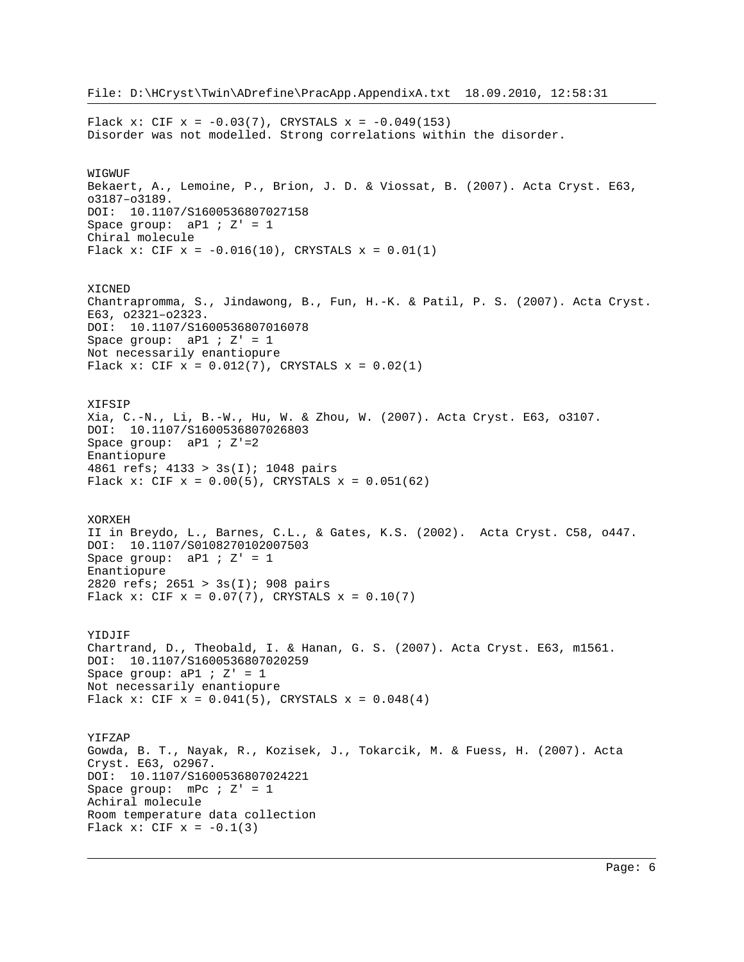File: D:\HCryst\Twin\ADrefine\PracApp.AppendixA.txt 18.09.2010, 12:58:31 Flack x: CIF  $x = -0.03(7)$ , CRYSTALS  $x = -0.049(153)$ Disorder was not modelled. Strong correlations within the disorder. WIGWUF Bekaert, A., Lemoine, P., Brion, J. D. & Viossat, B. (2007). Acta Cryst. E63, o3187–o3189. DOI: 10.1107/S1600536807027158 Space group:  $aPI$  ;  $Z' = 1$ Chiral molecule Flack x: CIF  $x = -0.016(10)$ , CRYSTALS  $x = 0.01(1)$ XICNED Chantrapromma, S., Jindawong, B., Fun, H.-K. & Patil, P. S. (2007). Acta Cryst. E63, o2321–o2323. DOI: 10.1107/S1600536807016078 Space group:  $aPI$  ;  $Z' = 1$ Not necessarily enantiopure Flack x: CIF  $x = 0.012(7)$ , CRYSTALS  $x = 0.02(1)$ XIFSIP Xia, C.-N., Li, B.-W., Hu, W. & Zhou, W. (2007). Acta Cryst. E63, o3107. DOI: 10.1107/S1600536807026803 Space group:  $aP1$  ;  $Z'=2$ Enantiopure 4861 refs; 4133 > 3s(I); 1048 pairs Flack x: CIF  $x = 0.00(5)$ , CRYSTALS  $x = 0.051(62)$ XORXEH II in Breydo, L., Barnes, C.L., & Gates, K.S. (2002). Acta Cryst. C58, o447. DOI: 10.1107/S0108270102007503 Space group:  $aPI$  ;  $Z' = 1$ Enantiopure 2820 refs; 2651 > 3s(I); 908 pairs Flack x: CIF  $x = 0.07(7)$ , CRYSTALS  $x = 0.10(7)$ YIDJIF Chartrand, D., Theobald, I. & Hanan, G. S. (2007). Acta Cryst. E63, m1561. DOI: 10.1107/S1600536807020259 Space group:  $aPI$  ;  $Z' = 1$ Not necessarily enantiopure Flack x: CIF  $x = 0.041(5)$ , CRYSTALS  $x = 0.048(4)$ YIFZAP Gowda, B. T., Nayak, R., Kozisek, J., Tokarcik, M. & Fuess, H. (2007). Acta Cryst. E63, o2967. DOI: 10.1107/S1600536807024221 Space group:  $mPc$  ;  $Z' = 1$ Achiral molecule Room temperature data collection Flack  $x: CIF x = -0.1(3)$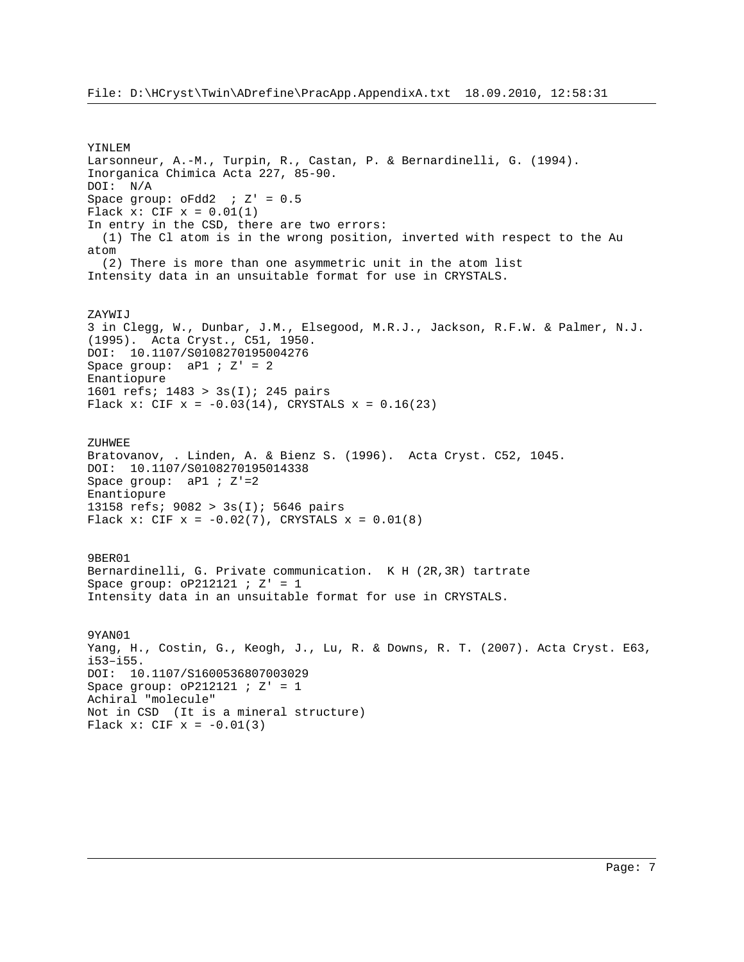```
YINLEM
Larsonneur, A.-M., Turpin, R., Castan, P. & Bernardinelli, G. (1994).
Inorganica Chimica Acta 227, 85-90.
DOI: N/A
Space group: ofdd2 ; Z' = 0.5Flack x: CIF x = 0.01(1)In entry in the CSD, there are two errors:
   (1) The Cl atom is in the wrong position, inverted with respect to the Au
atom
   (2) There is more than one asymmetric unit in the atom list
Intensity data in an unsuitable format for use in CRYSTALS.
ZAYWIJ
3 in Clegg, W., Dunbar, J.M., Elsegood, M.R.J., Jackson, R.F.W. & Palmer, N.J.
(1995). Acta Cryst., C51, 1950.
DOI: 10.1107/S0108270195004276
Space group: aPI ; Z' = 2Enantiopure
1601 refs; 1483 > 3s(I); 245 pairs
Flack x: CIF x = -0.03(14), CRYSTALS x = 0.16(23)ZUHWEE
Bratovanov, . Linden, A. & Bienz S. (1996). Acta Cryst. C52, 1045.
DOI: 10.1107/S0108270195014338
Space group: aP1 ; Z'=2
Enantiopure
13158 refs; 9082 > 3s(I); 5646 pairs
Flack x: CIF x = -0.02(7), CRYSTALS x = 0.01(8)9BER01
Bernardinelli, G. Private communication. K H (2R,3R) tartrate
Space group: oP212121 ; Z' = 1Intensity data in an unsuitable format for use in CRYSTALS.
9YAN01
Yang, H., Costin, G., Keogh, J., Lu, R. & Downs, R. T. (2007). Acta Cryst. E63,
i53–i55.
DOI: 10.1107/S1600536807003029
Space group: oP212121 ; Z' = 1
Achiral "molecule"
Not in CSD (It is a mineral structure)
Flack x: CIF x = -0.01(3)
```